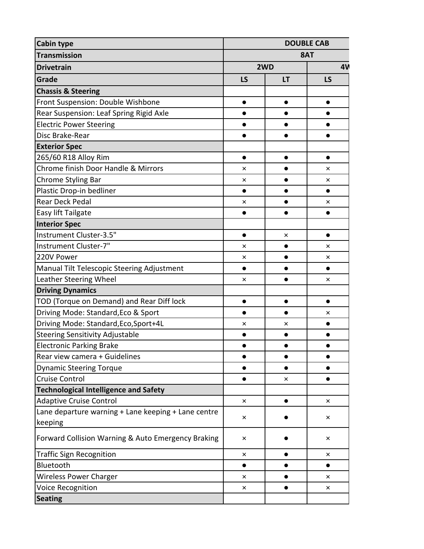| <b>Cabin type</b>                                   | <b>DOUBLE CAB</b> |           |           |  |
|-----------------------------------------------------|-------------------|-----------|-----------|--|
| <b>Transmission</b>                                 | 8AT               |           |           |  |
| <b>Drivetrain</b>                                   |                   | 2WD       |           |  |
| Grade                                               | LS                | <b>LT</b> | <b>LS</b> |  |
| <b>Chassis &amp; Steering</b>                       |                   |           |           |  |
| Front Suspension: Double Wishbone                   | $\bullet$         | $\bullet$ | $\bullet$ |  |
| Rear Suspension: Leaf Spring Rigid Axle             | $\bullet$         |           |           |  |
| <b>Electric Power Steering</b>                      | $\bullet$         | $\bullet$ |           |  |
| Disc Brake-Rear                                     | $\bullet$         | $\bullet$ | ●         |  |
| <b>Exterior Spec</b>                                |                   |           |           |  |
| 265/60 R18 Alloy Rim                                | $\bullet$         | $\bullet$ | $\bullet$ |  |
| Chrome finish Door Handle & Mirrors                 | ×                 | $\bullet$ | ×         |  |
| Chrome Styling Bar                                  | ×                 |           | ×         |  |
| Plastic Drop-in bedliner                            | $\bullet$         | $\bullet$ | $\bullet$ |  |
| <b>Rear Deck Pedal</b>                              | ×                 | $\bullet$ | ×         |  |
| Easy lift Tailgate                                  | $\bullet$         |           |           |  |
| <b>Interior Spec</b>                                |                   |           |           |  |
| Instrument Cluster-3.5"                             | $\bullet$         | ×         | $\bullet$ |  |
| Instrument Cluster-7"                               | ×                 | $\bullet$ | $\times$  |  |
| 220V Power                                          | ×                 | $\bullet$ | ×         |  |
| Manual Tilt Telescopic Steering Adjustment          | $\bullet$         | $\bullet$ | $\bullet$ |  |
| Leather Steering Wheel                              | ×                 |           | ×         |  |
| <b>Driving Dynamics</b>                             |                   |           |           |  |
| TOD (Torque on Demand) and Rear Diff lock           | $\bullet$         | $\bullet$ | $\bullet$ |  |
| Driving Mode: Standard, Eco & Sport                 | $\bullet$         | $\bullet$ | ×         |  |
| Driving Mode: Standard, Eco, Sport+4L               | ×                 | ×         | $\bullet$ |  |
| <b>Steering Sensitivity Adjustable</b>              | $\bullet$         |           |           |  |
| <b>Electronic Parking Brake</b>                     | $\bullet$         |           |           |  |
| Rear view camera + Guidelines                       | $\bullet$         | $\bullet$ |           |  |
| <b>Dynamic Steering Torque</b>                      | $\bullet$         |           |           |  |
| <b>Cruise Control</b>                               | $\bullet$         | ×         |           |  |
| <b>Technological Intelligence and Safety</b>        |                   |           |           |  |
| <b>Adaptive Cruise Control</b>                      | ×                 |           | ×         |  |
| Lane departure warning + Lane keeping + Lane centre | ×                 |           | ×         |  |
| keeping                                             |                   |           |           |  |
| Forward Collision Warning & Auto Emergency Braking  | ×                 |           | ×         |  |
| <b>Traffic Sign Recognition</b>                     | ×                 |           | ×         |  |
| Bluetooth                                           | $\bullet$         |           |           |  |
| <b>Wireless Power Charger</b>                       | ×                 | $\bullet$ | ×         |  |
| Voice Recognition                                   | ×                 |           | ×         |  |
| <b>Seating</b>                                      |                   |           |           |  |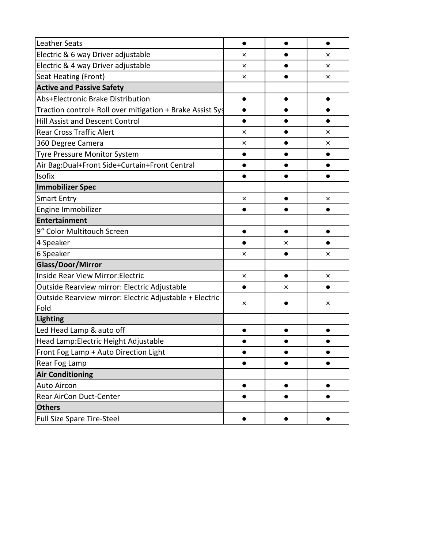| <b>Leather Seats</b>                                      | $\bullet$ |           |          |
|-----------------------------------------------------------|-----------|-----------|----------|
| Electric & 6 way Driver adjustable                        | $\times$  |           | $\times$ |
| Electric & 4 way Driver adjustable                        | ×         |           | ×        |
| Seat Heating (Front)                                      | ×         |           | ×        |
| <b>Active and Passive Safety</b>                          |           |           |          |
| Abs+Electronic Brake Distribution                         |           |           |          |
| Traction control+ Roll over mitigation + Brake Assist Sys |           |           |          |
| <b>Hill Assist and Descent Control</b>                    | $\bullet$ |           |          |
| <b>Rear Cross Traffic Alert</b>                           | ×         |           | ×        |
| 360 Degree Camera                                         | ×         |           | ×        |
| Tyre Pressure Monitor System                              | $\bullet$ |           |          |
| Air Bag: Dual+Front Side+Curtain+Front Central            |           |           |          |
| Isofix                                                    |           |           |          |
| <b>Immobilizer Spec</b>                                   |           |           |          |
| <b>Smart Entry</b>                                        | ×         |           | ×        |
| Engine Immobilizer                                        |           |           |          |
| <b>Entertainment</b>                                      |           |           |          |
| 9" Color Multitouch Screen                                |           |           |          |
| 4 Speaker                                                 |           | ×         |          |
| 6 Speaker                                                 | ×         |           | ×        |
| Glass/Door/Mirror                                         |           |           |          |
| Inside Rear View Mirror: Electric                         | ×         |           | ×        |
| Outside Rearview mirror: Electric Adjustable              | ●         | ×         |          |
| Outside Rearview mirror: Electric Adjustable + Electric   | ×         |           | ×        |
| Fold                                                      |           |           |          |
| Lighting                                                  |           |           |          |
| Led Head Lamp & auto off                                  |           |           |          |
| Head Lamp: Electric Height Adjustable                     |           |           |          |
| Front Fog Lamp + Auto Direction Light                     |           |           |          |
| Rear Fog Lamp                                             |           |           |          |
| <b>Air Conditioning</b>                                   |           |           |          |
| <b>Auto Aircon</b>                                        | $\bullet$ | $\bullet$ |          |
| Rear AirCon Duct-Center                                   |           |           |          |
| <b>Others</b>                                             |           |           |          |
| Full Size Spare Tire-Steel                                | $\bullet$ |           |          |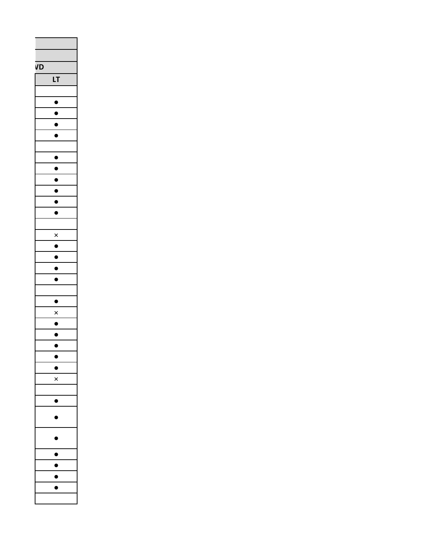| VD |                               |
|----|-------------------------------|
|    | LT                            |
|    |                               |
|    |                               |
|    |                               |
|    |                               |
|    | $\overline{\bullet}$          |
|    |                               |
|    | $\bullet$                     |
|    |                               |
|    |                               |
|    | ١<br>$\overline{\phantom{a}}$ |
|    |                               |
|    |                               |
|    |                               |
|    | $\times$                      |
|    | J                             |
|    | ١                             |
|    | $\bullet$                     |
|    | $\bullet$<br>J                |
|    |                               |
|    | $\bullet$                     |
|    | $\times$                      |
|    |                               |
|    | $\frac{\bullet}{\bullet}$     |
|    |                               |
|    | ١                             |
|    | J                             |
|    | ×                             |
|    |                               |
|    | ●                             |
|    | D                             |
|    |                               |
|    | D                             |
|    |                               |
|    | $\blacksquare$                |
|    | ◗                             |
|    |                               |
|    | I                             |